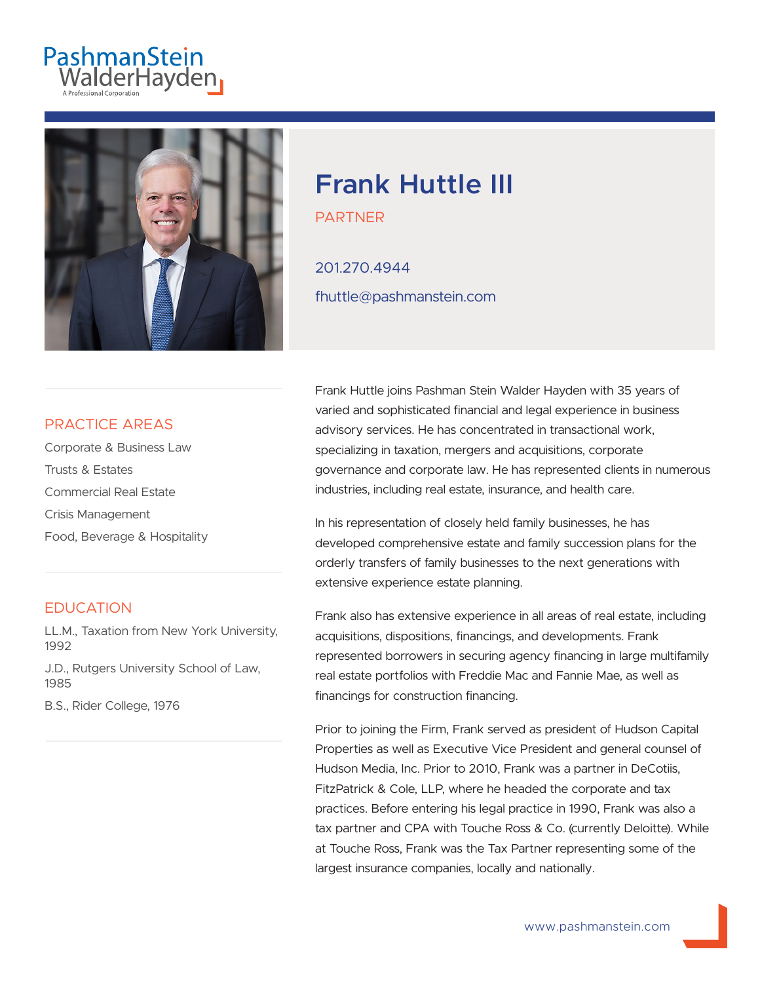# PashmanStein<br>WalderHayden



## **Frank Huttle III**

PARTNER

201.270.4944 fhuttle@pashmanstein.com

#### PRACTICE AREAS

Corporate & Business Law Trusts & Estates Commercial Real Estate Crisis Management Food, Beverage & Hospitality

#### **EDUCATION**

LL.M., Taxation from New York University, 1992

J.D., Rutgers University School of Law, 1985

B.S., Rider College, 1976

Frank Huttle joins Pashman Stein Walder Hayden with 35 years of varied and sophisticated financial and legal experience in business advisory services. He has concentrated in transactional work, specializing in taxation, mergers and acquisitions, corporate governance and corporate law. He has represented clients in numerous industries, including real estate, insurance, and health care.

In his representation of closely held family businesses, he has developed comprehensive estate and family succession plans for the orderly transfers of family businesses to the next generations with extensive experience estate planning.

Frank also has extensive experience in all areas of real estate, including acquisitions, dispositions, financings, and developments. Frank represented borrowers in securing agency financing in large multifamily real estate portfolios with Freddie Mac and Fannie Mae, as well as financings for construction financing.

Prior to joining the Firm, Frank served as president of Hudson Capital Properties as well as Executive Vice President and general counsel of Hudson Media, Inc. Prior to 2010, Frank was a partner in DeCotiis, FitzPatrick & Cole, LLP, where he headed the corporate and tax practices. Before entering his legal practice in 1990, Frank was also a tax partner and CPA with Touche Ross & Co. (currently Deloitte). While at Touche Ross, Frank was the Tax Partner representing some of the largest insurance companies, locally and nationally.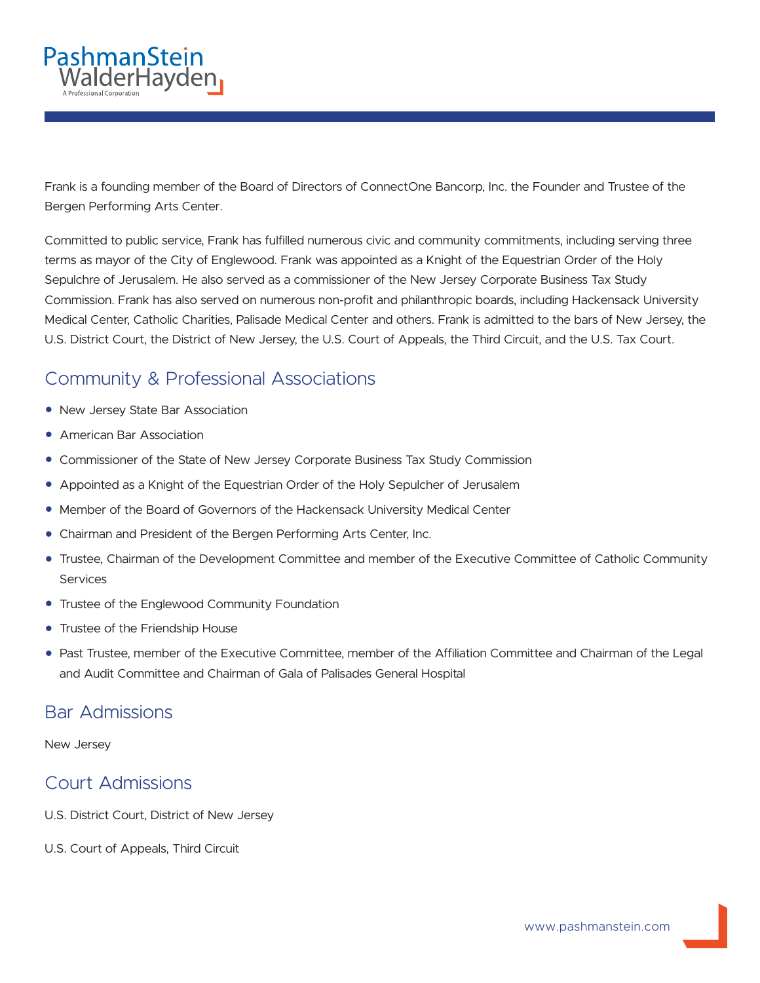

Frank is a founding member of the Board of Directors of ConnectOne Bancorp, Inc. the Founder and Trustee of the Bergen Performing Arts Center.

Committed to public service, Frank has fulfilled numerous civic and community commitments, including serving three terms as mayor of the City of Englewood. Frank was appointed as a Knight of the Equestrian Order of the Holy Sepulchre of Jerusalem. He also served as a commissioner of the New Jersey Corporate Business Tax Study Commission. Frank has also served on numerous non-profit and philanthropic boards, including Hackensack University Medical Center, Catholic Charities, Palisade Medical Center and others. Frank is admitted to the bars of New Jersey, the U.S. District Court, the District of New Jersey, the U.S. Court of Appeals, the Third Circuit, and the U.S. Tax Court.

### Community & Professional Associations

- New Jersey State Bar Association
- American Bar Association
- Commissioner of the State of New Jersey Corporate Business Tax Study Commission
- Appointed as a Knight of the Equestrian Order of the Holy Sepulcher of Jerusalem
- Member of the Board of Governors of the Hackensack University Medical Center
- Chairman and President of the Bergen Performing Arts Center, Inc.
- Trustee, Chairman of the Development Committee and member of the Executive Committee of Catholic Community Services
- Trustee of the Englewood Community Foundation
- Trustee of the Friendship House
- Past Trustee, member of the Executive Committee, member of the Affiliation Committee and Chairman of the Legal and Audit Committee and Chairman of Gala of Palisades General Hospital

#### Bar Admissions

New Jersey

#### Court Admissions

- U.S. District Court, District of New Jersey
- U.S. Court of Appeals, Third Circuit